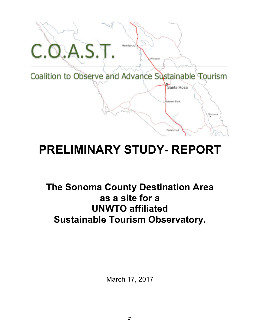

# **PRELIMINARY STUDY- REPORT**

## **The Sonoma County Destination Area as a site for a UNWTO affiliated Sustainable Tourism Observatory.**

March 17, 2017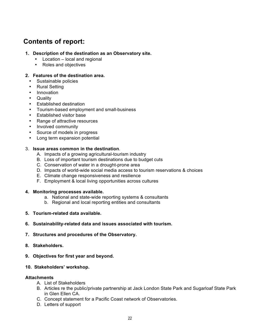## **Contents of report:**

#### **1. Description of the destination as an Observatory site.**

- Location local and regional
- Roles and objectives

#### **2. Features of the destination area.**

- Sustainable policies
- Rural Setting
- Innovation
- Quality
- Established destination
- Tourism-based employment and small-business
- Established visitor base
- Range of attractive resources
- Involved community
- Source of models in progress
- Long term expansion potential

#### 3. **Issue areas common in the destination**.

- A. Impacts of a growing agricultural-tourism industry
- B. Loss of important tourism destinations due to budget cuts
- C. Conservation of water in a drought-prone area
- D. Impacts of world-wide social media access to tourism reservations & choices
- E. Climate change responsiveness and resilience
- F. Employment & local living opportunities across cultures

#### **4. Monitoring processes available.**

- a. National and state-wide reporting systems & consultants
- b. Regional and local reporting entities and consultants
- **5. Tourism-related data available.**
- **6. Sustainability-related data and issues associated with tourism.**

#### **7. Structures and procedures of the Observatory.**

- **8. Stakeholders.**
- **9. Objectives for first year and beyond.**

#### **10. Stakeholders' workshop.**

#### **Attachments**

- A. List of Stakeholders
- B. Articles re the public/private partnership at Jack London State Park and Sugarloaf State Park in Glen Ellen CA.
- C. Concept statement for a Pacific Coast network of Observatories.
- D. Letters of support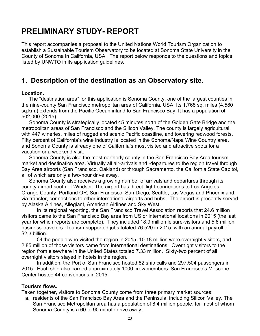## **PRELIMINARY STUDY- REPORT**

This report accompanies a proposal to the United Nations World Tourism Organization to establish a Sustainable Tourism Observatory to be located at Sonoma State University in the County of Sonoma in California, USA. The report below responds to the questions and topics listed by UNWTO in its application guidelines.

## **1. Description of the destination as an Observatory site.**

#### **Location.**

The "destination area" for this application is Sonoma County, one of the largest counties in the nine-county San Francisco metropolitan area of California, USA. Its 1,768 sq. miles (4,580 sq.km.) extends from the Pacific Ocean inland to San Francisco Bay. It has a population of 502,000 (2015).

Sonoma County is strategically located 45 minutes north of the Golden Gate Bridge and the metropolitan areas of San Francisco and the Silicon Valley. The county is largely agricultural, with 447 wineries, miles of rugged and scenic Pacific coastline, and towering redwood forests. Fifty percent of California's wine industry is located in the Sonoma/Napa Wine Country area, and Sonoma County is already one of California's most visited and attractive spots for a vacation or a weekend visit.

Sonoma County is also the most northerly county in the San Francisco Bay Area tourism market and destination area. Virtually all air-arrivals and -departures to the region travel through Bay Area airports (San Francisco, Oakland) or through Sacramento, the California State Capitol, all of which are only a two-hour drive away.

Sonoma County also receives a growing number of arrivals and departures through its county airport south of Windsor. The airport has direct flight-connections to Los Angeles, Orange County, Portland OR, San Francisco, San Diego, Seattle, Las Vegas and Phoenix and, via transfer, connections to other international airports and hubs. The airport is presently served by Alaska Airlines, Allegiant, American Airlines and Sky West.

In its regional reporting, the San Francisco Travel Association reports that 24.6 million visitors came to the San Francisco Bay area from US or international locations in 2015 (the last year for which reports are complete). They included 18.9 million leisure-visitors and 5.8 million business-travelers. Tourism-supported jobs totaled 76,520 in 2015, with an annual payroll of \$2.3 billion.

Of the people who visited the region in 2015, 10.18 million were overnight visitors, and 2.85 million of those visitors came from international destinations. Overnight visitors to the region from elsewhere in the United States totaled 7.33 million. Sixty-two percent of all overnight visitors stayed in hotels in the region.

In addition, the Port of San Francisco hosted 82 ship calls and 297,504 passengers in 2015. Each ship also carried approximately 1000 crew members. San Francisco's Moscone Center hosted 44 conventions in 2015.

#### **Tourism flows.**

Taken together, visitors to Sonoma County come from three primary market sources:

a. residents of the San Francisco Bay Area and the Peninsula, including Silicon Valley. The San Francisco Metropolitan area has a population of 8.4 million people, for most of whom Sonoma County is a 60 to 90 minute drive away.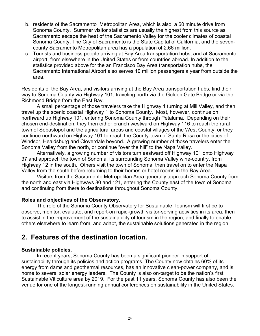- b. residents of the Sacramento Metropolitan Area, which is also a 60 minute drive from Sonoma County. Summer visitor statistics are usually the highest from this source as Sacramento escape the heat of the Sacramento Valley for the cooler climates of coastal Sonoma County. The City of Sacramento is the State Capital of California, and the sevencounty Sacramento Metropolitan area has a population of 2.66 million.
- c. Tourists and business people arriving at Bay Area transportation hubs, and at Sacramento airport, from elsewhere in the United States or from countries abroad. In addition to the statistics provided above for the an Francisco Bay Area transportation hubs, the Sacramento International Airport also serves 10 million passengers a year from outside the area.

Residents of the Bay Area, and visitors arriving at the Bay Area transportation hubs, find their way to Sonoma County via Highway 101, traveling north via the Golden Gate Bridge or via the Richmond Bridge from the East Bay.

A small percentage of those travelers take the Highway 1 turning at Mill Valley, and then travel up the scenic coastal Highway 1 to Sonoma County. Most, however, continue on northward up Highway 101, entering Sonoma County through Petaluma. Depending on their chosen end-destination, they then either branch westward on Highway 116 to reach the rural town of Sebastopol and the agricultural areas and coastal villages of the West County, or they continue northward on Highway 101 to reach the County-town of Santa Rosa or the cities of Windsor, Healdsburg and Cloverdale beyond. A growing number of those travelers enter the Sonoma Valley from the north, or continue "over the hill" to the Napa Valley.

Alternatively, a growing number of visitors turn eastward off Highway 101 onto Highway 37 and approach the town of Sonoma, its surrounding Sonoma Valley wine-country, from Highway 12 in the south. Others visit the town of Sonoma, then travel on to enter the Napa Valley from the south before returning to their homes or hotel rooms in the Bay Area.

Visitors from the Sacramento Metropolitan Area generally approach Sonoma County from the north and east via Highways 80 and 121, entering the County east of the town of Sonoma and continuing from there to destinations throughout Sonoma County.

#### **Roles and objectives of the Observatory.**

The role of the Sonoma County Observatory for Sustainable Tourism will first be to observe, monitor, evaluate, and report-on rapid-growth visitor-serving activities in its area, then to assist in the improvement of the sustainability of tourism in the region, and finally to enable others elsewhere to learn from, and adapt, the sustainable solutions generated in the region.

## **2. Features of the destination location.**

#### **Sustainable policies.**

In recent years, Sonoma County has been a significant pioneer in support of sustainability through its policies and action programs. The County now obtains 60% of its energy from dams and geothermal resources, has an innovative clean-power company, and is home to several solar energy leaders. The County is also on-target to be the nation's first Sustainable Viticulture area by 2019. For the past 11 years, Sonoma County has also been the venue for one of the longest-running annual conferences on sustainability in the United States.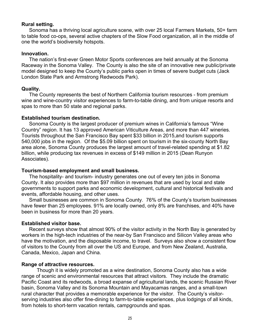#### **Rural setting.**

Sonoma has a thriving local agriculture scene, with over 25 local Farmers Markets, 50+ farm to table food co-ops, several active chapters of the Slow Food organization, all in the middle of one the world's biodiversity hotspots.

#### **Innovation.**

The nation's first-ever Green Motor Sports conferences are held annually at the Sonoma Raceway in the Sonoma Valley. The County is also the site of an innovative new public/private model designed to keep the County's public parks open in times of severe budget cuts (Jack London State Park and Armstrong Redwoods Park).

#### **Quality.**

The County represents the best of Northern California tourism resources - from premium wine and wine-country visitor experiences to farm-to-table dining, and from unique resorts and spas to more than 50 state and regional parks.

#### **Established tourism destination.**

Sonoma County is the largest producer of premium wines in California's famous "Wine Country" region. It has 13 approved American Viticulture Areas, and more than 447 wineries. Tourists throughout the San Francisco Bay spent \$33 billion in 2015,and tourism supports 540,000 jobs in the region. Of the \$5.09 billion spent on tourism in the six-county North Bay area alone, Sonoma County produces the largest amount of travel-related spending at \$1.82 billion, while producing tax revenues in excess of \$149 million in 2015 (Dean Runyon Associates).

#### **Tourism-based employment and small business.**

The hospitality- and tourism- industry generates one out of every ten jobs in Sonoma County. It also provides more than \$97 million in revenues that are used by local and state governments to support parks and economic development, cultural and historical festivals and events, affordable housing, and other uses.

Small businesses are common in Sonoma County. 76% of the County's tourism businesses have fewer than 25 employees. 91% are locally owned, only 8% are franchises, and 40% have been in business for more than 20 years.

#### **Established visitor base.**

Recent surveys show that almost 90% of the visitor activity in the North Bay is generated by workers in the high-tech industries of the near-by San Francisco and Silicon Valley areas who have the motivation, and the disposable income, to travel. Surveys also show a consistent flow of visitors to the County from all over the US and Europe, and from New Zealand, Australia, Canada, Mexico, Japan and China.

#### **Range of attractive resources.**

Though it is widely promoted as a wine destination, Sonoma County also has a wide range of scenic and environmental resources that attract visitors. They include the dramatic Pacific Coast and its redwoods, a broad expanse of agricultural lands, the scenic Russian River basin, Sonoma Valley and its Sonoma Mountain and Mayacamas ranges, and a small-town rural character that provides a memorable experience for the visitor. The County's visitorserving industries also offer fine-dining to farm-to-table experiences, plus lodgings of all kinds, from hotels to short-term vacation rentals, campgrounds and spas.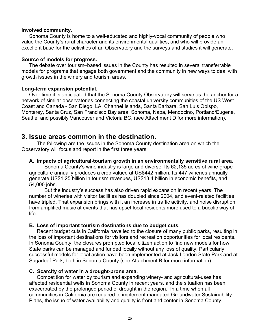#### **Involved community.**

Sonoma County is home to a well-educated and highly-vocal community of people who value the County's rural character and its environmental qualities, and who will provide an excellent base for the activities of an Observatory and the surveys and studies it will generate.

#### **Source of models for progress.**

The debate over tourism–based issues in the County has resulted in several transferrable models for programs that engage both government and the community in new ways to deal with growth issues in the winery and tourism areas.

#### **Long-term expansion potential.**

Over time it is anticipated that the Sonoma County Observatory will serve as the anchor for a network of similar observatories connecting the coastal university communities of the US West Coast and Canada - San Diego, LA, Channel Islands, Santa Barbara, San Luis Obispo, Monterey, Santa Cruz, San Francisco Bay area, Sonoma, Napa, Mendocino, Portland/Eugene, Seattle, and possibly Vancouver and Victoria BC. (see Attachment D for more information).

## **3. Issue areas common in the destination.**

The following are the issues in the Sonoma County destination area on which the Observatory will focus and report in the first three years:

#### **A. Impacts of agricultural-tourism growth in an environmentally sensitive rural area.**

Sonoma County's wine industry is large and diverse. Its 62,135 acres of wine-grape agriculture annually produces a crop valued at US\$442 million. Its 447 wineries annually generate US\$1.25 billion in tourism revenues, US\$13.4 billion in economic benefits, and 54,000 jobs.

But the industry's success has also driven rapid expansion in recent years. The number of wineries with visitor facilities has doubled since 2004, and event-related facilities have tripled. That expansion brings with it an increase in traffic activity, and noise disruption from amplified music at events that has upset local residents more used to a bucolic way of life.

#### **B. Loss of important tourism destinations due to budget cuts.**

Recent budget cuts in California have led to the closure of many public parks, resulting in the loss of important destinations for visitors and recreation opportunities for local residents. In Sonoma County, the closures prompted local citizen action to find new models for how State parks can be managed and funded locally without any loss of quality. Particularly successful models for local action have been implemented at Jack London State Park and at Sugarloaf Park, both in Sonoma County (see Attachment B for more information).

#### **C. Scarcity of water in a drought-prone area.**

Competition for water by tourism and expanding winery- and agricultural-uses has affected residential wells in Sonoma County in recent years, and the situation has been exacerbated by the prolonged period of drought in the region. In a time when all communities in California are required to implement mandated Groundwater Sustainability Plans, the issue of water availability and quality is front and center in Sonoma County.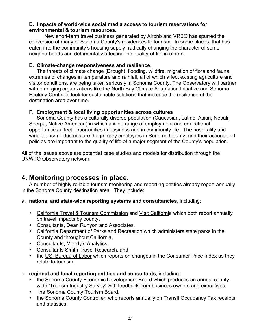#### **D. Impacts of world-wide social media access to tourism reservations for environmental & tourism resources.**

New short-term travel business generated by Airbnb and VRBO has spurred the conversion of many of Sonoma County's residences to tourism. In some places, that has eaten into the community's housing supply, radically changing the character of some neighborhoods and detrimentally affecting the quality-of-life in others.

#### **E. Climate-change responsiveness and resilience**.

The threats of climate change (Drought, flooding, wildfire, migration of flora and fauna, extremes of changes in temperature and rainfall, all of which affect existing agriculture and visitor conditions, are being taken seriously in Sonoma County. The Observatory will partner with emerging organizations like the North Bay Climate Adaptation Initiative and Sonoma Ecology Center to look for sustainable solutions that increase the resilience of the destination area over time.

#### **F. Employment & local living opportunities across cultures**

Sonoma County has a culturally diverse population (Caucasian, Latino, Asian, Nepali, Sherpa, Native American) in which a wide range of employment and educational opportunities affect opportunities in business and in community life. The hospitality and wine-tourism industries are the primary employers in Sonoma County, and their actions and policies are important to the quality of life of a major segment of the County's population.

All of the issues above are potential case studies and models for distribution through the UNWTO Observatory network.

## **4. Monitoring processes in place.**

A number of highly reliable tourism monitoring and reporting entities already report annually in the Sonoma County destination area. They include:

- a. **national and state-wide reporting systems and consultancies**, including:
	- California Travel & Tourism Commission and Visit California which both report annually on travel impacts by county,
	- Consultants, Dean Runyon and Associates,
	- California Department of Parks and Recreation which administers state parks in the County and throughout California,
	- Consultants, Moody's Analytics,
	- Consultants Smith Travel Research, and
	- the US. Bureau of Labor which reports on changes in the Consumer Price Index as they relate to tourism,
- b. **regional and local reporting entities and consultants**, including:
	- the Sonoma County Economic Development Board which produces an annual countywide 'Tourism Industry Survey' with feedback from business owners and executives,
	- the Sonoma County Tourism Board,
	- the Sonoma County Controller, who reports annually on Transit Occupancy Tax receipts and statistics,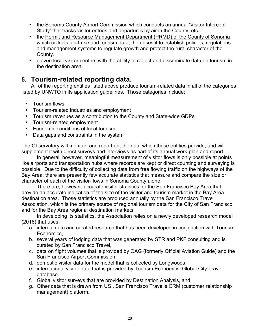- the Sonoma County Airport Commission which conducts an annual 'Visitor Intercept Study' that tracks visitor entries and departures by air in the County, etc.,
- the Permit and Resource Management Department (PRMD) of the County of Sonoma which collects land-use and tourism data, then uses it to establish policies, regulations and management systems to regulate growth and protect the rural character of the County.
- eleven local visitor centers with the ability to collect and disseminate data on tourism in the destination area.

## **5. Tourism-related reporting data.**

All of the reporting entities listed above produce tourism-related data in all of the categories listed by UNWTO in its application guidelines. Those categories include:

- Tourism flows
- Tourism-related industries and employment
- Tourism revenues as a contribution to the County and State-wide GDPs
- Tourism-related employment
- Economic conditions of local tourism
- Data gaps and constraints in the system

The Observatory will monitor, and report on, the data which those entities provide, and will supplement it with direct surveys and interviews as part of its annual work-plan and report.

In general, however, meaningful measurement of visitor flows is only possible at points like airports and transportation hubs where records are kept or direct counting and surveying is possible. Due to the difficulty of collecting data from free flowing traffic on the highways of the Bay Area, there are presently few accurate statistics that measure and compare the size or character of each of the visitor-flows in Sonoma County alone.

There are, however, accurate visitor statistics for the San Francisco Bay Area that provide an accurate indication of the size of the visitor and tourism market in the Bay Area destination area. Those statistics are produced annually by the San Francisco Travel Association, which is the primary source of regional tourism data for the City of San Francisco and for the Bay Area regional destination markets.

In developing its statistics, the Association relies on a newly developed research model  $(2016)$  that uses:

- a. internal data and curated research that has been developed in conjunction with Tourism Economics,
- b. several years of lodging data that was generated by STR and PKF consulting and is curated by San Francisco Travel,
- c. data on flight volumes that is provided by OAG (formerly Official Aviation Guide) and the San Francisco Airport Commission.
- d. domestic visitor data for the model that is collected by Longwoods,
- e. international visitor data that is provided by Tourism Economics' Global City Travel database.
- f. Global visitor surveys that are provided by Destination Analysis, and
- g. Other data that is drawn from USI, San Francisco Travel's CRM (customer relationship management) platform.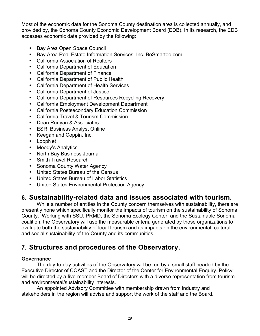Most of the economic data for the Sonoma County destination area is collected annually, and provided by, the Sonoma County Economic Development Board (EDB). In its research, the EDB accesses economic data provided by the following:

- Bay Area Open Space Council
- Bay Area Real Estate Information Services, Inc. BeSmartee.com
- California Association of Realtors
- California Department of Education
- California Department of Finance
- California Department of Public Health
- California Department of Health Services
- California Department of Justice
- California Department of Resources Recycling Recovery
- California Employment Development Department
- California Postsecondary Education Commission
- California Travel & Tourism Commission
- Dean Runyan & Associates
- ESRI Business Analyst Online
- Keegan and Coppin, Inc.
- LoopNet
- Moody's Analytics
- North Bay Business Journal
- Smith Travel Research
- Sonoma County Water Agency
- United States Bureau of the Census
- United States Bureau of Labor Statistics
- United States Environmental Protection Agency

## **6. Sustainability-related data and issues associated with tourism.**

While a number of entities in the County concern themselves with sustainability, there are presently none which specifically monitor the impacts of tourism on the sustainability of Sonoma County. Working with SSU, PRMD, the Sonoma Ecology Center, and the Sustainable Sonoma coalition, the Observatory will use the measurable criteria generated by those organizations to evaluate both the sustainability of local tourism and its impacts on the environmental, cultural and social sustainability of the County and its communities.

## **7. Structures and procedures of the Observatory.**

#### **Governance**

The day-to-day activities of the Observatory will be run by a small staff headed by the Executive Director of COAST and the Director of the Center for Environmental Enquiry. Policy will be directed by a five-member Board of Directors with a diverse representation from tourism and environmental/sustainability interests.

An appointed Advisory Committee with membership drawn from industry and stakeholders in the region will advise and support the work of the staff and the Board.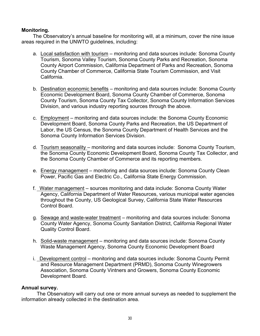#### **Monitoring.**

The Observatory's annual baseline for monitoring will, at a minimum, cover the nine issue areas required in the UNWTO guidelines, including:

- a. Local satisfaction with tourism monitoring and data sources include: Sonoma County Tourism, Sonoma Valley Tourism, Sonoma County Parks and Recreation, Sonoma County Airport Commission, California Department of Parks and Recreation, Sonoma County Chamber of Commerce, California State Tourism Commission, and Visit California.
- b. Destination economic benefits monitoring and data sources include: Sonoma County Economic Development Board, Sonoma County Chamber of Commerce, Sonoma County Tourism, Sonoma County Tax Collector, Sonoma County Information Services Division, and various industry reporting sources through the above.
- c. Employment monitoring and data sources include: the Sonoma County Economic Development Board, Sonoma County Parks and Recreation, the US Department of Labor, the US Census, the Sonoma County Department of Health Services and the Sonoma County Information Services Division.
- d. Tourism seasonality monitoring and data sources include: Sonoma County Tourism, the Sonoma County Economic Development Board, Sonoma County Tax Collector, and the Sonoma County Chamber of Commerce and its reporting members.
- e. Energy management monitoring and data sources include: Sonoma County Clean Power, Pacific Gas and Electric Co., California State Energy Commission.
- f. Water management sources monitoring and data include: Sonoma County Water Agency, California Department of Water Resources, various municipal water agencies throughout the County, US Geological Survey, California State Water Resources Control Board.
- g. Sewage and waste-water treatment monitoring and data sources include: Sonoma County Water Agency, Sonoma County Sanitation District, California Regional Water Quality Control Board.
- h. Solid-waste management monitoring and data sources include: Sonoma County Waste Management Agency, Sonoma County Economic Development Board
- i. Development control monitoring and data sources include: Sonoma County Permit and Resource Management Department (PRMD), Sonoma County Winegrowers Association, Sonoma County Vintners and Growers, Sonoma County Economic Development Board.

#### **Annual survey.**

The Observatory will carry out one or more annual surveys as needed to supplement the information already collected in the destination area.